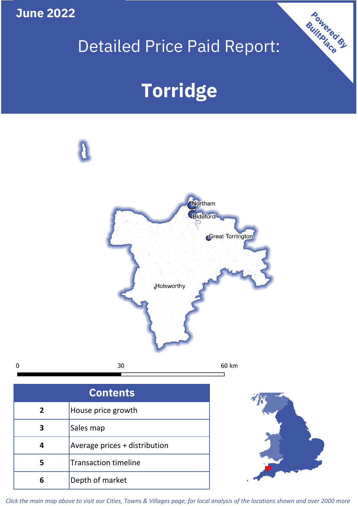

## Detailed Price Paid Report:

Powered By

# **Torridge**



*Click the main map above to visit our Cities, Towns & Villages page, for local analysis of the locations shown and over 2000 more*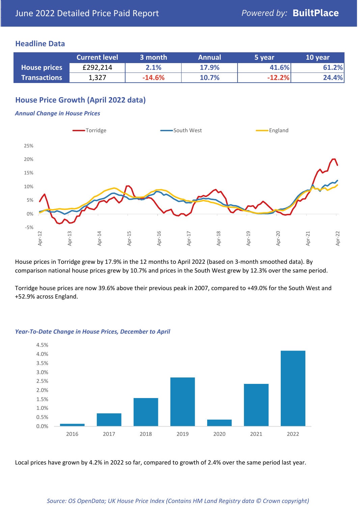#### **Headline Data**

|                     | <b>Current level</b> | 3 month  | <b>Annual</b> | 5 year   | 10 year |
|---------------------|----------------------|----------|---------------|----------|---------|
| <b>House prices</b> | £292,214             | 2.1%     | 17.9%         | 41.6%    | 61.2%   |
| <b>Transactions</b> | 1,327                | $-14.6%$ | 10.7%         | $-12.2%$ | 24.4%   |

### **House Price Growth (April 2022 data)**

#### *Annual Change in House Prices*



House prices in Torridge grew by 17.9% in the 12 months to April 2022 (based on 3-month smoothed data). By comparison national house prices grew by 10.7% and prices in the South West grew by 12.3% over the same period.

Torridge house prices are now 39.6% above their previous peak in 2007, compared to +49.0% for the South West and +52.9% across England.



#### *Year-To-Date Change in House Prices, December to April*

Local prices have grown by 4.2% in 2022 so far, compared to growth of 2.4% over the same period last year.

#### *Source: OS OpenData; UK House Price Index (Contains HM Land Registry data © Crown copyright)*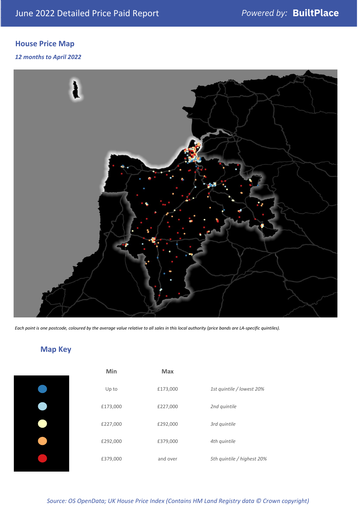### **House Price Map**

#### *12 months to April 2022*



*Each point is one postcode, coloured by the average value relative to all sales in this local authority (price bands are LA-specific quintiles).*

### **Map Key**

| Min      | <b>Max</b> |                            |
|----------|------------|----------------------------|
| Up to    | £173,000   | 1st quintile / lowest 20%  |
| £173,000 | £227,000   | 2nd quintile               |
| £227,000 | £292,000   | 3rd quintile               |
| £292,000 | £379,000   | 4th quintile               |
| £379,000 | and over   | 5th quintile / highest 20% |
|          |            |                            |

#### *Source: OS OpenData; UK House Price Index (Contains HM Land Registry data © Crown copyright)*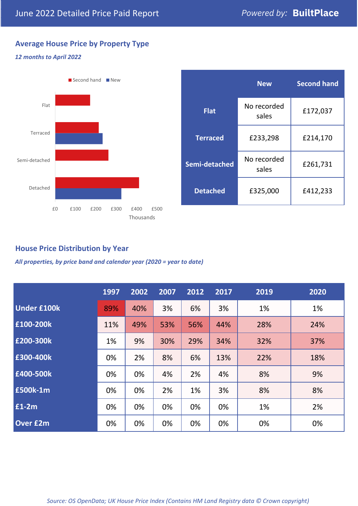#### **Average House Price by Property Type**

#### *12 months to April 2022*



|                 | <b>New</b>           | <b>Second hand</b> |  |
|-----------------|----------------------|--------------------|--|
| <b>Flat</b>     | No recorded<br>sales | £172,037           |  |
| <b>Terraced</b> | £233,298             | £214,170           |  |
| Semi-detached   | No recorded<br>sales | £261,731           |  |
| <b>Detached</b> | £325,000             | £412,233           |  |

#### **House Price Distribution by Year**

*All properties, by price band and calendar year (2020 = year to date)*

|                    | 1997 | 2002 | 2007 | 2012 | 2017 | 2019 | 2020 |
|--------------------|------|------|------|------|------|------|------|
| <b>Under £100k</b> | 89%  | 40%  | 3%   | 6%   | 3%   | 1%   | 1%   |
| £100-200k          | 11%  | 49%  | 53%  | 56%  | 44%  | 28%  | 24%  |
| £200-300k          | 1%   | 9%   | 30%  | 29%  | 34%  | 32%  | 37%  |
| £300-400k          | 0%   | 2%   | 8%   | 6%   | 13%  | 22%  | 18%  |
| £400-500k          | 0%   | 0%   | 4%   | 2%   | 4%   | 8%   | 9%   |
| <b>£500k-1m</b>    | 0%   | 0%   | 2%   | 1%   | 3%   | 8%   | 8%   |
| £1-2m              | 0%   | 0%   | 0%   | 0%   | 0%   | 1%   | 2%   |
| <b>Over £2m</b>    | 0%   | 0%   | 0%   | 0%   | 0%   | 0%   | 0%   |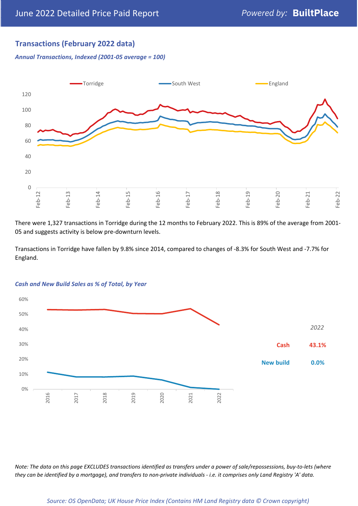#### **Transactions (February 2022 data)**

*Annual Transactions, Indexed (2001-05 average = 100)*



There were 1,327 transactions in Torridge during the 12 months to February 2022. This is 89% of the average from 2001- 05 and suggests activity is below pre-downturn levels.

Transactions in Torridge have fallen by 9.8% since 2014, compared to changes of -8.3% for South West and -7.7% for England.



#### *Cash and New Build Sales as % of Total, by Year*

*Note: The data on this page EXCLUDES transactions identified as transfers under a power of sale/repossessions, buy-to-lets (where they can be identified by a mortgage), and transfers to non-private individuals - i.e. it comprises only Land Registry 'A' data.*